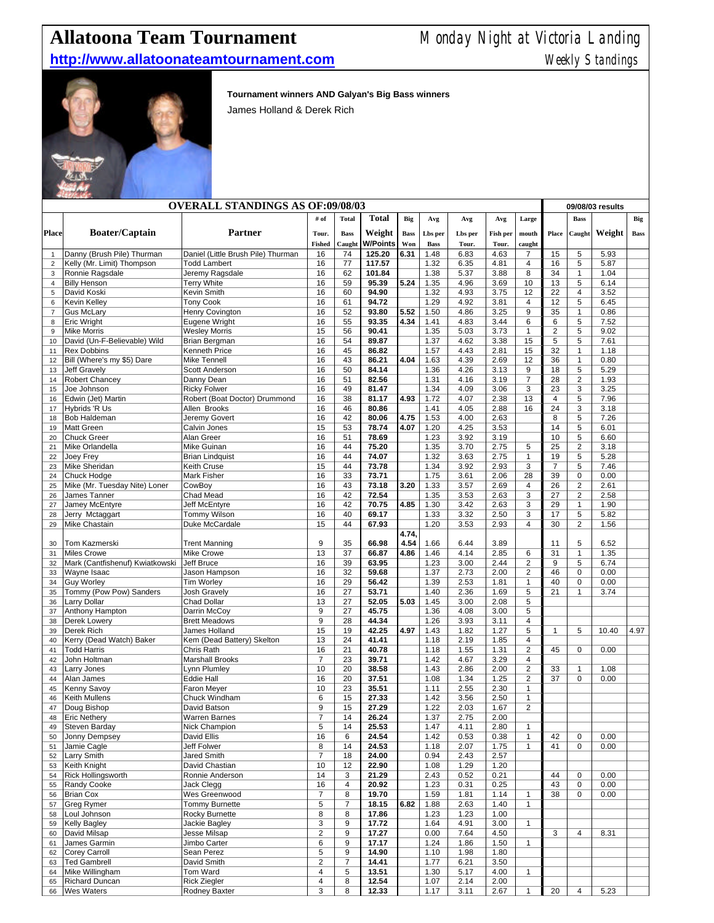## **Allatoona Team Tournament** Monday Night at Victoria Landing

## **http://www.allatoonateamtournament.com Weekly Standings** Weekly Standings



**Tournament winners AND Galyan's Big Bass winners**

James Holland & Derek Rich

|                     | <b>OVERALL STANDINGS AS OF:09/08/03</b>        |                                        |                              |                  |                  |             |              |              |              |                                |                     | 09/08/03 results               |              |             |  |  |
|---------------------|------------------------------------------------|----------------------------------------|------------------------------|------------------|------------------|-------------|--------------|--------------|--------------|--------------------------------|---------------------|--------------------------------|--------------|-------------|--|--|
|                     |                                                |                                        | # of                         | <b>Total</b>     | <b>Total</b>     | Big         | Avg          | Avg          | Avg          | Large                          |                     | <b>Bass</b>                    |              | Big         |  |  |
| <b>Place</b>        | <b>Boater/Captain</b>                          | Partner                                | Tour.                        | <b>Bass</b>      | Weight           | <b>Bass</b> | Lbs per      | Lbs per      | Fish per     | mouth                          | Place               | Caught                         | Weight       | <b>Bass</b> |  |  |
|                     |                                                |                                        | <b>Fished</b>                | Caught           | <b>W/Points</b>  | Won         | <b>Bass</b>  | Tour.        | Tour.        | caught                         |                     |                                |              |             |  |  |
| $\mathbf{1}$        | Danny (Brush Pile) Thurman                     | Daniel (Little Brush Pile) Thurman     | 16                           | 74               | 125.20           | 6.31        | 1.48         | 6.83         | 4.63         | 7                              | 15                  | 5                              | 5.93         |             |  |  |
| $\overline{c}$<br>3 | Kelly (Mr. Limit) Thompson<br>Ronnie Ragsdale  | <b>Todd Lambert</b><br>Jeremy Ragsdale | 16<br>16                     | 77<br>62         | 117.57<br>101.84 |             | 1.32<br>1.38 | 6.35<br>5.37 | 4.81<br>3.88 | 4<br>8                         | 16<br>34            | 5<br>$\mathbf{1}$              | 5.87<br>1.04 |             |  |  |
| $\overline{4}$      | <b>Billy Henson</b>                            | <b>Terry White</b>                     | 16                           | 59               | 95.39            | 5.24        | 1.35         | 4.96         | 3.69         | 10                             | 13                  | 5                              | 6.14         |             |  |  |
| 5                   | David Koski                                    | Kevin Smith                            | 16                           | 60               | 94.90            |             | 1.32         | 4.93         | 3.75         | 12                             | 22                  | 4                              | 3.52         |             |  |  |
| 6                   | <b>Kevin Kelley</b>                            | <b>Tony Cook</b>                       | 16                           | 61               | 94.72            |             | 1.29         | 4.92         | 3.81         | 4                              | 12                  | 5                              | 6.45         |             |  |  |
| $\overline{7}$      | <b>Gus McLary</b>                              | Henry Covington                        | 16                           | 52               | 93.80            | 5.52        | 1.50         | 4.86         | 3.25         | $9\,$                          | 35                  | $\mathbf{1}$                   | 0.86         |             |  |  |
| 8<br>9              | <b>Eric Wright</b><br><b>Mike Morris</b>       | Eugene Wright<br><b>Wesley Morris</b>  | 16<br>15                     | 55<br>56         | 93.35<br>90.41   | 4.34        | 1.41<br>1.35 | 4.83<br>5.03 | 3.44<br>3.73 | 6<br>$\mathbf{1}$              | 6<br>$\overline{2}$ | 5<br>5                         | 7.52<br>9.02 |             |  |  |
| 10                  | David (Un-F-Believable) Wild                   | <b>Brian Bergman</b>                   | 16                           | 54               | 89.87            |             | 1.37         | 4.62         | 3.38         | 15                             | 5                   | 5                              | 7.61         |             |  |  |
| 11                  | <b>Rex Dobbins</b>                             | <b>Kenneth Price</b>                   | 16                           | 45               | 86.82            |             | 1.57         | 4.43         | 2.81         | 15                             | 32                  | $\mathbf{1}$                   | 1.18         |             |  |  |
| 12                  | Bill (Where's my \$5) Dare                     | <b>Mike Tennell</b>                    | 16                           | 43               | 86.21            | 4.04        | 1.63         | 4.39         | 2.69         | 12                             | 36                  | $\mathbf{1}$                   | 0.80         |             |  |  |
| 13                  | Jeff Gravely                                   | Scott Anderson                         | 16                           | 50               | 84.14            |             | 1.36         | 4.26         | 3.13         | 9                              | 18                  | 5                              | 5.29         |             |  |  |
| 14<br>15            | Robert Chancey<br>Joe Johnson                  | Danny Dean<br><b>Ricky Folwer</b>      | 16<br>16                     | 51<br>49         | 82.56<br>81.47   |             | 1.31<br>1.34 | 4.16<br>4.09 | 3.19<br>3.06 | $\overline{7}$<br>3            | 28<br>23            | $\overline{c}$<br>3            | 1.93<br>3.25 |             |  |  |
| 16                  | Edwin (Jet) Martin                             | Robert (Boat Doctor) Drummond          | 16                           | 38               | 81.17            | 4.93        | 1.72         | 4.07         | 2.38         | 13                             | 4                   | 5                              | 7.96         |             |  |  |
| 17                  | Hybrids 'R Us                                  | Allen Brooks                           | 16                           | 46               | 80.86            |             | 1.41         | 4.05         | 2.88         | 16                             | 24                  | 3                              | 3.18         |             |  |  |
| 18                  | <b>Bob Haldeman</b>                            | Jeremy Govert                          | 16                           | 42               | 80.06            | 4.75        | 1.53         | 4.00         | 2.63         |                                | 8                   | 5                              | 7.26         |             |  |  |
| 19                  | <b>Matt Green</b>                              | Calvin Jones                           | 15                           | 53               | 78.74            | 4.07        | 1.20         | 4.25         | 3.53         |                                | 14                  | 5                              | 6.01         |             |  |  |
| 20<br>21            | <b>Chuck Greer</b><br>Mike Orlandella          | Alan Greer<br>Mike Guinan              | 16<br>16                     | 51<br>44         | 78.69<br>75.20   |             | 1.23<br>1.35 | 3.92<br>3.70 | 3.19<br>2.75 | 5                              | 10<br>25            | 5<br>$\overline{2}$            | 6.60<br>3.18 |             |  |  |
| 22                  | Joey Frey                                      | <b>Brian Lindquist</b>                 | 16                           | 44               | 74.07            |             | 1.32         | 3.63         | 2.75         | $\mathbf{1}$                   | 19                  | 5                              | 5.28         |             |  |  |
| 23                  | Mike Sheridan                                  | Keith Cruse                            | 15                           | 44               | 73.78            |             | 1.34         | 3.92         | 2.93         | 3                              | $\overline{7}$      | 5                              | 7.46         |             |  |  |
| 24                  | Chuck Hodge                                    | <b>Mark Fisher</b>                     | 16                           | 33               | 73.71            |             | 1.75         | 3.61         | 2.06         | 28                             | 39                  | $\pmb{0}$                      | 0.00         |             |  |  |
| 25                  | Mike (Mr. Tuesday Nite) Loner                  | CowBoy                                 | 16                           | 43               | 73.18            | 3.20        | 1.33         | 3.57         | 2.69         | 4                              | 26                  | $\sqrt{2}$                     | 2.61         |             |  |  |
| 26                  | James Tanner<br>Jamey McEntyre                 | Chad Mead<br>Jeff McEntyre             | 16<br>16                     | 42<br>42         | 72.54<br>70.75   | 4.85        | 1.35<br>1.30 | 3.53<br>3.42 | 2.63<br>2.63 | 3<br>3                         | 27<br>29            | $\overline{2}$<br>$\mathbf{1}$ | 2.58<br>1.90 |             |  |  |
| 27<br>28            | Jerry Mctaggart                                | Tommy Wilson                           | 16                           | 40               | 69.17            |             | 1.33         | 3.32         | 2.50         | 3                              | 17                  | 5                              | 5.82         |             |  |  |
| 29                  | <b>Mike Chastain</b>                           | Duke McCardale                         | 15                           | 44               | 67.93            |             | 1.20         | 3.53         | 2.93         | 4                              | 30                  | $\overline{2}$                 | 1.56         |             |  |  |
|                     |                                                |                                        |                              |                  |                  | 4.74,       |              |              |              |                                |                     |                                |              |             |  |  |
| 30                  | Tom Kazmerski                                  | <b>Trent Manning</b>                   | 9                            | 35               | 66.98            | 4.54        | 1.66         | 6.44         | 3.89         |                                | 11                  | 5                              | 6.52         |             |  |  |
| 31                  | <b>Miles Crowe</b>                             | <b>Mike Crowe</b><br>Jeff Bruce        | 13<br>16                     | 37<br>39         | 66.87            | 4.86        | 1.46         | 4.14         | 2.85<br>2.44 | 6<br>$\overline{2}$            | 31<br>9             | $\mathbf{1}$<br>5              | 1.35<br>6.74 |             |  |  |
| 32<br>33            | Mark (Cantfishenuf) Kwiatkowski<br>Wayne Isaac | Jason Hampson                          | 16                           | 32               | 63.95<br>59.68   |             | 1.23<br>1.37 | 3.00<br>2.73 | 2.00         | 2                              | 46                  | $\mathbf 0$                    | 0.00         |             |  |  |
| 34                  | <b>Guy Worley</b>                              | <b>Tim Worley</b>                      | 16                           | 29               | 56.42            |             | 1.39         | 2.53         | 1.81         | $\mathbf{1}$                   | 40                  | $\mathbf 0$                    | 0.00         |             |  |  |
| 35                  | Tommy (Pow Pow) Sanders                        | <b>Josh Gravely</b>                    | 16                           | 27               | 53.71            |             | 1.40         | 2.36         | 1.69         | 5                              | 21                  | $\mathbf{1}$                   | 3.74         |             |  |  |
| 36                  | Larry Dollar                                   | Chad Dollar                            | 13                           | 27               | 52.05            | 5.03        | 1.45         | 3.00         | 2.08         | 5                              |                     |                                |              |             |  |  |
| 37                  | Anthony Hampton                                | Darrin McCoy                           | 9                            | 27               | 45.75            |             | 1.36         | 4.08         | 3.00         | 5                              |                     |                                |              |             |  |  |
| 38<br>39            | Derek Lowery<br>Derek Rich                     | <b>Brett Meadows</b><br>James Holland  | 9<br>15                      | 28<br>19         | 44.34<br>42.25   | 4.97        | 1.26<br>1.43 | 3.93<br>1.82 | 3.11<br>1.27 | 4<br>5                         | $\mathbf{1}$        | 5                              | 10.40        | 4.97        |  |  |
| 40                  | Kerry (Dead Watch) Baker                       | Kem (Dead Battery) Skelton             | 13                           | 24               | 41.41            |             | 1.18         | 2.19         | 1.85         | $\overline{4}$                 |                     |                                |              |             |  |  |
| 41                  | <b>Todd Harris</b>                             | Chris Rath                             | 16                           | 21               | 40.78            |             | 1.18         | 1.55         | 1.31         | $\overline{2}$                 | 45                  | $\mathbf 0$                    | 0.00         |             |  |  |
| 42                  | John Holtman                                   | <b>Marshall Brooks</b>                 | $\overline{7}$               | 23               | 39.71            |             | 1.42         | 4.67         | 3.29         | 4                              |                     |                                |              |             |  |  |
| 43                  | Larry Jones                                    | Lynn Plumley                           | 10                           | 20               | 38.58            |             | 1.43         | 2.86         | 2.00         | $\overline{2}$                 | 33                  | $\mathbf{1}$                   | 1.08         |             |  |  |
| 44<br>45            | Alan James<br>Kenny Savoy                      | <b>Eddie Hall</b><br>Faron Meyer       | 16<br>10                     | 20<br>23         | 37.51<br>35.51   |             | 1.08<br>1.11 | 1.34<br>2.55 | 1.25<br>2.30 | $\overline{2}$<br>$\mathbf{1}$ | 37                  | $\mathbf 0$                    | 0.00         |             |  |  |
| 46                  | Keith Mullens                                  | Chuck Windham                          | 6                            | 15               | 27.33            |             | 1.42         | 3.56         | 2.50         | $\mathbf{1}$                   |                     |                                |              |             |  |  |
| 47                  | Doug Bishop                                    | David Batson                           | 9                            | 15               | 27.29            |             | 1.22         | 2.03         | 1.67         | $\overline{2}$                 |                     |                                |              |             |  |  |
| 48                  | <b>Eric Nethery</b>                            | <b>Warren Barnes</b>                   | $\overline{7}$               | 14               | 26.24            |             | 1.37         | 2.75         | 2.00         |                                |                     |                                |              |             |  |  |
| 49                  | Steven Barday                                  | Nick Champion                          | 5                            | 14               | 25.53            |             | 1.47         | 4.11         | 2.80         | $\mathbf{1}$                   |                     |                                |              |             |  |  |
| 50                  | Jonny Dempsey                                  | David Ellis                            | 16                           | 6                | 24.54            |             | 1.42         | 0.53         | 0.38         | $\mathbf{1}$                   | 42                  | 0                              | 0.00         |             |  |  |
| 51<br>52            | Jamie Cagle<br><b>Larry Smith</b>              | Jeff Folwer<br>Jared Smith             | 8<br>$\overline{7}$          | 14<br>18         | 24.53<br>24.00   |             | 1.18<br>0.94 | 2.07<br>2.43 | 1.75<br>2.57 | $\mathbf{1}$                   | 41                  | $\mathsf 0$                    | 0.00         |             |  |  |
| 53                  | Keith Knight                                   | David Chastian                         | 10                           | 12               | 22.90            |             | 1.08         | 1.29         | 1.20         |                                |                     |                                |              |             |  |  |
| 54                  | <b>Rick Hollingsworth</b>                      | Ronnie Anderson                        | 14                           | 3                | 21.29            |             | 2.43         | 0.52         | 0.21         |                                | 44                  | 0                              | 0.00         |             |  |  |
| 55                  | Randy Cooke                                    | Jack Clegg                             | 16                           | 4                | 20.92            |             | 1.23         | 0.31         | 0.25         |                                | 43                  | $\pmb{0}$                      | 0.00         |             |  |  |
| 56                  | <b>Brian Cox</b>                               | Wes Greenwood                          | $\overline{7}$               | 8                | 19.70            |             | 1.59         | 1.81         | 1.14         | $\mathbf{1}$                   | 38                  | $\mathbf 0$                    | 0.00         |             |  |  |
| 57                  | <b>Greg Rymer</b>                              | <b>Tommy Burnette</b>                  | 5                            | $\overline{7}$   | 18.15            | 6.82        | 1.88         | 2.63         | 1.40         | $\mathbf{1}$                   |                     |                                |              |             |  |  |
| 58<br>59            | Loul Johnson<br><b>Kelly Bagley</b>            | Rocky Burnette<br>Jackie Bagley        | 8<br>3                       | 8<br>9           | 17.86<br>17.72   |             | 1.23<br>1.64 | 1.23<br>4.91 | 1.00<br>3.00 | $\mathbf 1$                    |                     |                                |              |             |  |  |
| 60                  | David Milsap                                   | Jesse Milsap                           | $\overline{2}$               | 9                | 17.27            |             | 0.00         | 7.64         | 4.50         |                                | 3                   | 4                              | 8.31         |             |  |  |
| 61                  | James Garmin                                   | Jimbo Carter                           | 6                            | 9                | 17.17            |             | 1.24         | 1.86         | 1.50         | $\mathbf{1}$                   |                     |                                |              |             |  |  |
| 62                  | <b>Corey Carroll</b>                           | Sean Perez                             | 5                            | 9                | 14.90            |             | 1.10         | 1.98         | 1.80         |                                |                     |                                |              |             |  |  |
| 63                  | <b>Ted Gambrell</b>                            | David Smith                            | 2                            | $\boldsymbol{7}$ | 14.41            |             | 1.77         | 6.21         | 3.50         |                                |                     |                                |              |             |  |  |
| 64<br>65            | Mike Willingham<br>Richard Duncan              | Tom Ward<br><b>Rick Ziegler</b>        | 4<br>$\overline{\mathbf{4}}$ | 5<br>8           | 13.51            |             | 1.30         | 5.17<br>2.14 | 4.00         | $\mathbf{1}$                   |                     |                                |              |             |  |  |
| 66                  | <b>Wes Waters</b>                              | Rodney Baxter                          | 3                            | 8                | 12.54<br>12.33   |             | 1.07<br>1.17 | 3.11         | 2.00<br>2.67 | $\mathbf 1$                    | 20                  | 4                              | 5.23         |             |  |  |
|                     |                                                |                                        |                              |                  |                  |             |              |              |              |                                |                     |                                |              |             |  |  |